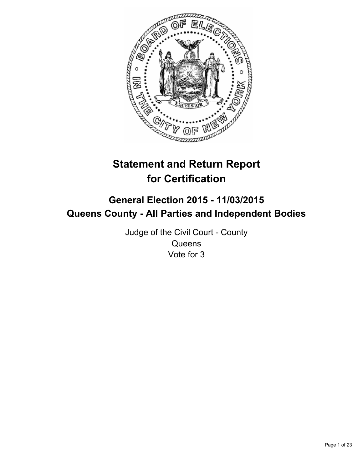

# **Statement and Return Report for Certification**

# **General Election 2015 - 11/03/2015 Queens County - All Parties and Independent Bodies**

Judge of the Civil Court - County **Queens** Vote for 3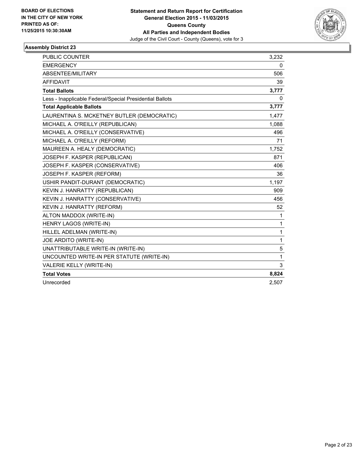

| <b>PUBLIC COUNTER</b>                                    | 3,232 |
|----------------------------------------------------------|-------|
| <b>EMERGENCY</b>                                         | 0     |
| <b>ABSENTEE/MILITARY</b>                                 | 506   |
| <b>AFFIDAVIT</b>                                         | 39    |
| <b>Total Ballots</b>                                     | 3,777 |
| Less - Inapplicable Federal/Special Presidential Ballots | 0     |
| <b>Total Applicable Ballots</b>                          | 3,777 |
| LAURENTINA S. MCKETNEY BUTLER (DEMOCRATIC)               | 1,477 |
| MICHAEL A. O'REILLY (REPUBLICAN)                         | 1,088 |
| MICHAEL A. O'REILLY (CONSERVATIVE)                       | 496   |
| MICHAEL A. O'REILLY (REFORM)                             | 71    |
| MAUREEN A. HEALY (DEMOCRATIC)                            | 1,752 |
| JOSEPH F. KASPER (REPUBLICAN)                            | 871   |
| JOSEPH F. KASPER (CONSERVATIVE)                          | 406   |
| JOSEPH F. KASPER (REFORM)                                | 36    |
| USHIR PANDIT-DURANT (DEMOCRATIC)                         | 1,197 |
| KEVIN J. HANRATTY (REPUBLICAN)                           | 909   |
| KEVIN J. HANRATTY (CONSERVATIVE)                         | 456   |
| KEVIN J. HANRATTY (REFORM)                               | 52    |
| ALTON MADDOX (WRITE-IN)                                  | 1     |
| HENRY LAGOS (WRITE-IN)                                   | 1     |
| HILLEL ADELMAN (WRITE-IN)                                | 1     |
| JOE ARDITO (WRITE-IN)                                    | 1     |
| UNATTRIBUTABLE WRITE-IN (WRITE-IN)                       | 5     |
| UNCOUNTED WRITE-IN PER STATUTE (WRITE-IN)                | 1     |
| VALERIE KELLY (WRITE-IN)                                 | 3     |
| <b>Total Votes</b>                                       | 8,824 |
| Unrecorded                                               | 2,507 |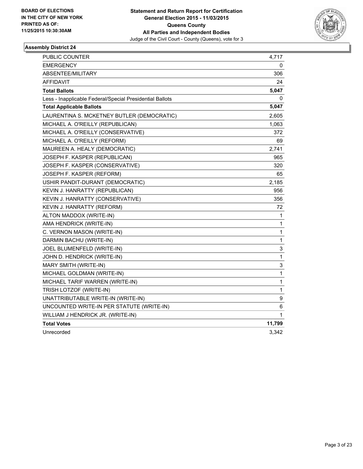

| PUBLIC COUNTER                                           | 4,717        |
|----------------------------------------------------------|--------------|
| <b>EMERGENCY</b>                                         | 0            |
| ABSENTEE/MILITARY                                        | 306          |
| AFFIDAVIT                                                | 24           |
| <b>Total Ballots</b>                                     | 5,047        |
| Less - Inapplicable Federal/Special Presidential Ballots | 0            |
| <b>Total Applicable Ballots</b>                          | 5,047        |
| LAURENTINA S. MCKETNEY BUTLER (DEMOCRATIC)               | 2,605        |
| MICHAEL A. O'REILLY (REPUBLICAN)                         | 1,063        |
| MICHAEL A. O'REILLY (CONSERVATIVE)                       | 372          |
| MICHAEL A. O'REILLY (REFORM)                             | 69           |
| MAUREEN A. HEALY (DEMOCRATIC)                            | 2,741        |
| JOSEPH F. KASPER (REPUBLICAN)                            | 965          |
| JOSEPH F. KASPER (CONSERVATIVE)                          | 320          |
| JOSEPH F. KASPER (REFORM)                                | 65           |
| USHIR PANDIT-DURANT (DEMOCRATIC)                         | 2,185        |
| KEVIN J. HANRATTY (REPUBLICAN)                           | 956          |
| KEVIN J. HANRATTY (CONSERVATIVE)                         | 356          |
| KEVIN J. HANRATTY (REFORM)                               | 72           |
| ALTON MADDOX (WRITE-IN)                                  | 1            |
| AMA HENDRICK (WRITE-IN)                                  | 1            |
| C. VERNON MASON (WRITE-IN)                               | 1            |
| DARMIN BACHU (WRITE-IN)                                  | 1            |
| JOEL BLUMENFELD (WRITE-IN)                               | 3            |
| JOHN D. HENDRICK (WRITE-IN)                              | 1            |
| MARY SMITH (WRITE-IN)                                    | 3            |
| MICHAEL GOLDMAN (WRITE-IN)                               | $\mathbf{1}$ |
| MICHAEL TARIF WARREN (WRITE-IN)                          | 1            |
| TRISH LOTZOF (WRITE-IN)                                  | 1            |
| UNATTRIBUTABLE WRITE-IN (WRITE-IN)                       | 9            |
| UNCOUNTED WRITE-IN PER STATUTE (WRITE-IN)                | 6            |
| WILLIAM J HENDRICK JR. (WRITE-IN)                        | 1            |
| <b>Total Votes</b>                                       | 11,799       |
| Unrecorded                                               | 3,342        |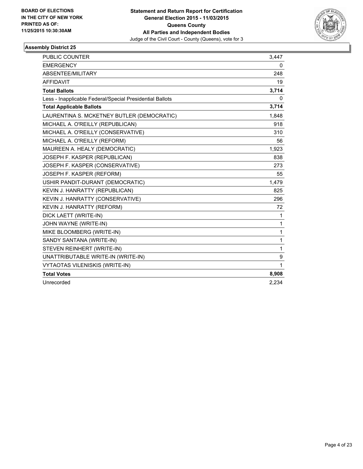

| <b>PUBLIC COUNTER</b>                                    | 3.447 |
|----------------------------------------------------------|-------|
| <b>EMERGENCY</b>                                         | 0     |
| ABSENTEE/MILITARY                                        | 248   |
| <b>AFFIDAVIT</b>                                         | 19    |
| <b>Total Ballots</b>                                     | 3,714 |
| Less - Inapplicable Federal/Special Presidential Ballots | 0     |
| <b>Total Applicable Ballots</b>                          | 3,714 |
| LAURENTINA S. MCKETNEY BUTLER (DEMOCRATIC)               | 1,848 |
| MICHAEL A. O'REILLY (REPUBLICAN)                         | 918   |
| MICHAEL A. O'REILLY (CONSERVATIVE)                       | 310   |
| MICHAEL A. O'REILLY (REFORM)                             | 56    |
| MAUREEN A. HEALY (DEMOCRATIC)                            | 1,923 |
| JOSEPH F. KASPER (REPUBLICAN)                            | 838   |
| JOSEPH F. KASPER (CONSERVATIVE)                          | 273   |
| JOSEPH F. KASPER (REFORM)                                | 55    |
| USHIR PANDIT-DURANT (DEMOCRATIC)                         | 1,479 |
| KEVIN J. HANRATTY (REPUBLICAN)                           | 825   |
| KEVIN J. HANRATTY (CONSERVATIVE)                         | 296   |
| KEVIN J. HANRATTY (REFORM)                               | 72    |
| DICK LAETT (WRITE-IN)                                    | 1     |
| JOHN WAYNE (WRITE-IN)                                    | 1     |
| MIKE BLOOMBERG (WRITE-IN)                                | 1     |
| SANDY SANTANA (WRITE-IN)                                 | 1     |
| STEVEN REINHERT (WRITE-IN)                               | 1     |
| UNATTRIBUTABLE WRITE-IN (WRITE-IN)                       | 9     |
| <b>VYTAOTAS VILENISKIS (WRITE-IN)</b>                    | 1     |
| <b>Total Votes</b>                                       | 8,908 |
| Unrecorded                                               | 2,234 |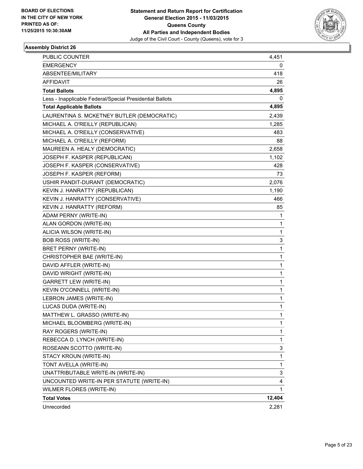

| <b>PUBLIC COUNTER</b>                                    | 4,451  |
|----------------------------------------------------------|--------|
| <b>EMERGENCY</b>                                         | 0      |
| ABSENTEE/MILITARY                                        | 418    |
| AFFIDAVIT                                                | 26     |
| <b>Total Ballots</b>                                     | 4,895  |
| Less - Inapplicable Federal/Special Presidential Ballots | 0      |
| <b>Total Applicable Ballots</b>                          | 4,895  |
| LAURENTINA S. MCKETNEY BUTLER (DEMOCRATIC)               | 2,439  |
| MICHAEL A. O'REILLY (REPUBLICAN)                         | 1,285  |
| MICHAEL A. O'REILLY (CONSERVATIVE)                       | 483    |
| MICHAEL A. O'REILLY (REFORM)                             | 88     |
| MAUREEN A. HEALY (DEMOCRATIC)                            | 2,658  |
| JOSEPH F. KASPER (REPUBLICAN)                            | 1,102  |
| JOSEPH F. KASPER (CONSERVATIVE)                          | 428    |
| JOSEPH F. KASPER (REFORM)                                | 73     |
| USHIR PANDIT-DURANT (DEMOCRATIC)                         | 2,076  |
| KEVIN J. HANRATTY (REPUBLICAN)                           | 1,190  |
| KEVIN J. HANRATTY (CONSERVATIVE)                         | 466    |
| KEVIN J. HANRATTY (REFORM)                               | 85     |
| ADAM PERNY (WRITE-IN)                                    | 1      |
| ALAN GORDON (WRITE-IN)                                   | 1      |
| ALICIA WILSON (WRITE-IN)                                 | 1      |
| <b>BOB ROSS (WRITE-IN)</b>                               | 3      |
| BRET PERNY (WRITE-IN)                                    | 1      |
| CHRISTOPHER BAE (WRITE-IN)                               | 1      |
| DAVID AFFLER (WRITE-IN)                                  | 1      |
| DAVID WRIGHT (WRITE-IN)                                  | 1      |
| GARRETT LEW (WRITE-IN)                                   | 1      |
| KEVIN O'CONNELL (WRITE-IN)                               | 1      |
| LEBRON JAMES (WRITE-IN)                                  | 1      |
| LUCAS DUDA (WRITE-IN)                                    | 1      |
| MATTHEW L. GRASSO (WRITE-IN)                             | 1      |
| MICHAEL BLOOMBERG (WRITE-IN)                             | 1      |
| RAY ROGERS (WRITE-IN)                                    | 1      |
| REBECCA D. LYNCH (WRITE-IN)                              | 1      |
| ROSEANN SCOTTO (WRITE-IN)                                | 3      |
| STACY KROUN (WRITE-IN)                                   | 1      |
| TONT AVELLA (WRITE-IN)                                   | 1      |
| UNATTRIBUTABLE WRITE-IN (WRITE-IN)                       | 3      |
| UNCOUNTED WRITE-IN PER STATUTE (WRITE-IN)                | 4      |
| WILMER FLORES (WRITE-IN)                                 | 1      |
| <b>Total Votes</b>                                       | 12,404 |
| Unrecorded                                               | 2,281  |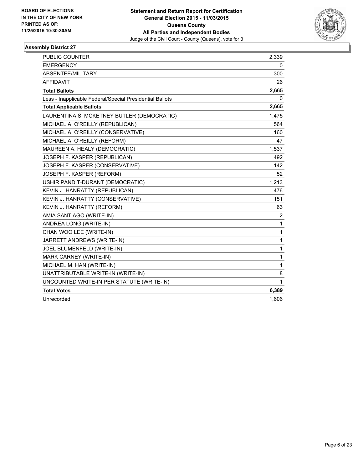

| <b>PUBLIC COUNTER</b>                                    | 2,339          |
|----------------------------------------------------------|----------------|
| <b>EMERGENCY</b>                                         | 0              |
| ABSENTEE/MILITARY                                        | 300            |
| <b>AFFIDAVIT</b>                                         | 26             |
| <b>Total Ballots</b>                                     | 2,665          |
| Less - Inapplicable Federal/Special Presidential Ballots | 0              |
| <b>Total Applicable Ballots</b>                          | 2,665          |
| LAURENTINA S. MCKETNEY BUTLER (DEMOCRATIC)               | 1,475          |
| MICHAEL A. O'REILLY (REPUBLICAN)                         | 564            |
| MICHAEL A. O'REILLY (CONSERVATIVE)                       | 160            |
| MICHAEL A. O'REILLY (REFORM)                             | 47             |
| MAUREEN A. HEALY (DEMOCRATIC)                            | 1,537          |
| JOSEPH F. KASPER (REPUBLICAN)                            | 492            |
| JOSEPH F. KASPER (CONSERVATIVE)                          | 142            |
| JOSEPH F. KASPER (REFORM)                                | 52             |
| USHIR PANDIT-DURANT (DEMOCRATIC)                         | 1,213          |
| KEVIN J. HANRATTY (REPUBLICAN)                           | 476            |
| KEVIN J. HANRATTY (CONSERVATIVE)                         | 151            |
| KEVIN J. HANRATTY (REFORM)                               | 63             |
| AMIA SANTIAGO (WRITE-IN)                                 | $\overline{2}$ |
| ANDREA LONG (WRITE-IN)                                   | 1              |
| CHAN WOO LEE (WRITE-IN)                                  | 1              |
| JARRETT ANDREWS (WRITE-IN)                               | 1              |
| JOEL BLUMENFELD (WRITE-IN)                               | 1              |
| MARK CARNEY (WRITE-IN)                                   | 1              |
| MICHAEL M. HAN (WRITE-IN)                                | 1              |
| UNATTRIBUTABLE WRITE-IN (WRITE-IN)                       | 8              |
| UNCOUNTED WRITE-IN PER STATUTE (WRITE-IN)                | 1              |
| <b>Total Votes</b>                                       | 6,389          |
| Unrecorded                                               | 1,606          |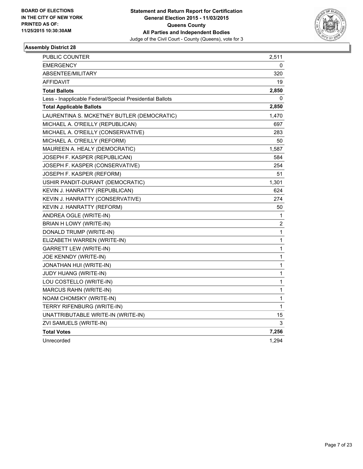

| PUBLIC COUNTER                                           | 2,511        |
|----------------------------------------------------------|--------------|
| <b>EMERGENCY</b>                                         | 0            |
| ABSENTEE/MILITARY                                        | 320          |
| AFFIDAVIT                                                | 19           |
| <b>Total Ballots</b>                                     | 2,850        |
| Less - Inapplicable Federal/Special Presidential Ballots | 0            |
| <b>Total Applicable Ballots</b>                          | 2,850        |
| LAURENTINA S. MCKETNEY BUTLER (DEMOCRATIC)               | 1,470        |
| MICHAEL A. O'REILLY (REPUBLICAN)                         | 697          |
| MICHAEL A. O'REILLY (CONSERVATIVE)                       | 283          |
| MICHAEL A. O'REILLY (REFORM)                             | 50           |
| MAUREEN A. HEALY (DEMOCRATIC)                            | 1,587        |
| JOSEPH F. KASPER (REPUBLICAN)                            | 584          |
| JOSEPH F. KASPER (CONSERVATIVE)                          | 254          |
| JOSEPH F. KASPER (REFORM)                                | 51           |
| USHIR PANDIT-DURANT (DEMOCRATIC)                         | 1,301        |
| KEVIN J. HANRATTY (REPUBLICAN)                           | 624          |
| KEVIN J. HANRATTY (CONSERVATIVE)                         | 274          |
| KEVIN J. HANRATTY (REFORM)                               | 50           |
| ANDREA OGLE (WRITE-IN)                                   | 1            |
| BRIAN H LOWY (WRITE-IN)                                  | 2            |
| DONALD TRUMP (WRITE-IN)                                  | 1            |
| ELIZABETH WARREN (WRITE-IN)                              | 1            |
| <b>GARRETT LEW (WRITE-IN)</b>                            | $\mathbf{1}$ |
| JOE KENNDY (WRITE-IN)                                    | 1            |
| JONATHAN HUI (WRITE-IN)                                  | 1            |
| JUDY HUANG (WRITE-IN)                                    | 1            |
| LOU COSTELLO (WRITE-IN)                                  | 1            |
| MARCUS RAHN (WRITE-IN)                                   | 1            |
| NOAM CHOMSKY (WRITE-IN)                                  | 1            |
| TERRY RIFENBURG (WRITE-IN)                               | 1            |
| UNATTRIBUTABLE WRITE-IN (WRITE-IN)                       | 15           |
| ZVI SAMUELS (WRITE-IN)                                   | 3            |
| <b>Total Votes</b>                                       | 7,256        |
| Unrecorded                                               | 1,294        |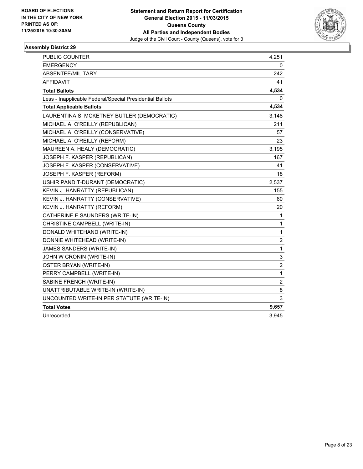

| PUBLIC COUNTER                                           | 4,251          |
|----------------------------------------------------------|----------------|
| <b>EMERGENCY</b>                                         | 0              |
| ABSENTEE/MILITARY                                        | 242            |
| <b>AFFIDAVIT</b>                                         | 41             |
| <b>Total Ballots</b>                                     | 4,534          |
| Less - Inapplicable Federal/Special Presidential Ballots | 0              |
| <b>Total Applicable Ballots</b>                          | 4,534          |
| LAURENTINA S. MCKETNEY BUTLER (DEMOCRATIC)               | 3,148          |
| MICHAEL A. O'REILLY (REPUBLICAN)                         | 211            |
| MICHAEL A. O'REILLY (CONSERVATIVE)                       | 57             |
| MICHAEL A. O'REILLY (REFORM)                             | 23             |
| MAUREEN A. HEALY (DEMOCRATIC)                            | 3,195          |
| JOSEPH F. KASPER (REPUBLICAN)                            | 167            |
| JOSEPH F. KASPER (CONSERVATIVE)                          | 41             |
| JOSEPH F. KASPER (REFORM)                                | 18             |
| USHIR PANDIT-DURANT (DEMOCRATIC)                         | 2,537          |
| KEVIN J. HANRATTY (REPUBLICAN)                           | 155            |
| KEVIN J. HANRATTY (CONSERVATIVE)                         | 60             |
| KEVIN J. HANRATTY (REFORM)                               | 20             |
| CATHERINE E SAUNDERS (WRITE-IN)                          | $\mathbf{1}$   |
| CHRISTINE CAMPBELL (WRITE-IN)                            | $\mathbf 1$    |
| DONALD WHITEHAND (WRITE-IN)                              | $\mathbf{1}$   |
| DONNIE WHITEHEAD (WRITE-IN)                              | 2              |
| JAMES SANDERS (WRITE-IN)                                 | $\mathbf{1}$   |
| JOHN W CRONIN (WRITE-IN)                                 | 3              |
| OSTER BRYAN (WRITE-IN)                                   | 2              |
| PERRY CAMPBELL (WRITE-IN)                                | $\mathbf{1}$   |
| SABINE FRENCH (WRITE-IN)                                 | $\overline{2}$ |
| UNATTRIBUTABLE WRITE-IN (WRITE-IN)                       | 8              |
| UNCOUNTED WRITE-IN PER STATUTE (WRITE-IN)                | 3              |
| <b>Total Votes</b>                                       | 9,657          |
| Unrecorded                                               | 3,945          |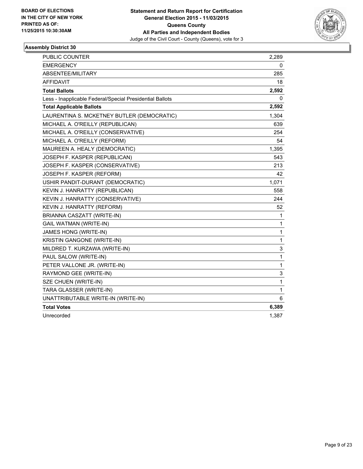

| <b>PUBLIC COUNTER</b>                                    | 2,289        |
|----------------------------------------------------------|--------------|
| <b>EMERGENCY</b>                                         | 0            |
| ABSENTEE/MILITARY                                        | 285          |
| <b>AFFIDAVIT</b>                                         | 18           |
| <b>Total Ballots</b>                                     | 2,592        |
| Less - Inapplicable Federal/Special Presidential Ballots | 0            |
| <b>Total Applicable Ballots</b>                          | 2,592        |
| LAURENTINA S. MCKETNEY BUTLER (DEMOCRATIC)               | 1,304        |
| MICHAEL A. O'REILLY (REPUBLICAN)                         | 639          |
| MICHAEL A. O'REILLY (CONSERVATIVE)                       | 254          |
| MICHAEL A. O'REILLY (REFORM)                             | 54           |
| MAUREEN A. HEALY (DEMOCRATIC)                            | 1,395        |
| JOSEPH F. KASPER (REPUBLICAN)                            | 543          |
| JOSEPH F. KASPER (CONSERVATIVE)                          | 213          |
| JOSEPH F. KASPER (REFORM)                                | 42           |
| USHIR PANDIT-DURANT (DEMOCRATIC)                         | 1,071        |
| KEVIN J. HANRATTY (REPUBLICAN)                           | 558          |
| KEVIN J. HANRATTY (CONSERVATIVE)                         | 244          |
| KEVIN J. HANRATTY (REFORM)                               | 52           |
| BRIANNA CASZATT (WRITE-IN)                               | 1            |
| <b>GAIL WATMAN (WRITE-IN)</b>                            | 1            |
| JAMES HONG (WRITE-IN)                                    | $\mathbf{1}$ |
| KRISTIN GANGONE (WRITE-IN)                               | 1            |
| MILDRED T. KURZAWA (WRITE-IN)                            | 3            |
| PAUL SALOW (WRITE-IN)                                    | 1            |
| PETER VALLONE JR. (WRITE-IN)                             | 1            |
| RAYMOND GEE (WRITE-IN)                                   | 3            |
| SZE CHUEN (WRITE-IN)                                     | 1            |
| TARA GLASSER (WRITE-IN)                                  | 1            |
| UNATTRIBUTABLE WRITE-IN (WRITE-IN)                       | 6            |
| <b>Total Votes</b>                                       | 6,389        |
| Unrecorded                                               | 1,387        |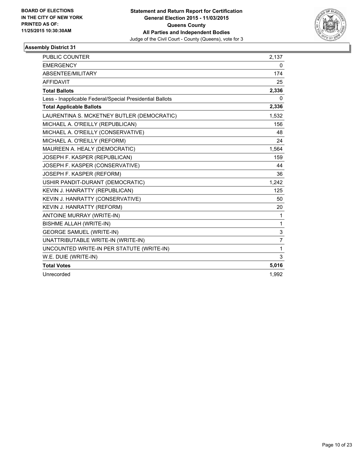

| <b>PUBLIC COUNTER</b>                                    | 2,137          |
|----------------------------------------------------------|----------------|
| <b>EMERGENCY</b>                                         | 0              |
| ABSENTEE/MILITARY                                        | 174            |
| <b>AFFIDAVIT</b>                                         | 25             |
| <b>Total Ballots</b>                                     | 2,336          |
| Less - Inapplicable Federal/Special Presidential Ballots | 0              |
| <b>Total Applicable Ballots</b>                          | 2,336          |
| LAURENTINA S. MCKETNEY BUTLER (DEMOCRATIC)               | 1,532          |
| MICHAEL A. O'REILLY (REPUBLICAN)                         | 156            |
| MICHAEL A. O'REILLY (CONSERVATIVE)                       | 48             |
| MICHAEL A. O'REILLY (REFORM)                             | 24             |
| MAUREEN A. HEALY (DEMOCRATIC)                            | 1,564          |
| JOSEPH F. KASPER (REPUBLICAN)                            | 159            |
| JOSEPH F. KASPER (CONSERVATIVE)                          | 44             |
| JOSEPH F. KASPER (REFORM)                                | 36             |
| USHIR PANDIT-DURANT (DEMOCRATIC)                         | 1,242          |
| KEVIN J. HANRATTY (REPUBLICAN)                           | 125            |
| KEVIN J. HANRATTY (CONSERVATIVE)                         | 50             |
| KEVIN J. HANRATTY (REFORM)                               | 20             |
| ANTOINE MURRAY (WRITE-IN)                                | 1              |
| <b>BISHME ALLAH (WRITE-IN)</b>                           | 1              |
| <b>GEORGE SAMUEL (WRITE-IN)</b>                          | 3              |
| UNATTRIBUTABLE WRITE-IN (WRITE-IN)                       | $\overline{7}$ |
| UNCOUNTED WRITE-IN PER STATUTE (WRITE-IN)                | 1              |
| W.E. DUIE (WRITE-IN)                                     | 3              |
| <b>Total Votes</b>                                       | 5,016          |
| Unrecorded                                               | 1.992          |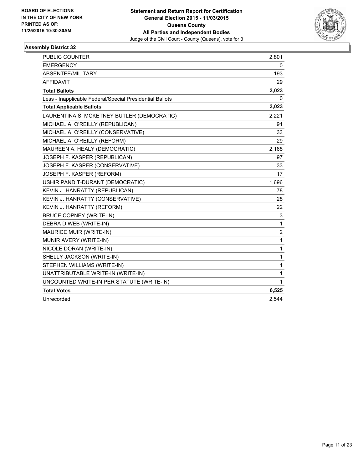

| <b>PUBLIC COUNTER</b>                                    | 2,801          |
|----------------------------------------------------------|----------------|
| <b>EMERGENCY</b>                                         | 0              |
| <b>ABSENTEE/MILITARY</b>                                 | 193            |
| <b>AFFIDAVIT</b>                                         | 29             |
| <b>Total Ballots</b>                                     | 3,023          |
| Less - Inapplicable Federal/Special Presidential Ballots | 0              |
| <b>Total Applicable Ballots</b>                          | 3,023          |
| LAURENTINA S. MCKETNEY BUTLER (DEMOCRATIC)               | 2,221          |
| MICHAEL A. O'REILLY (REPUBLICAN)                         | 91             |
| MICHAEL A. O'REILLY (CONSERVATIVE)                       | 33             |
| MICHAEL A. O'REILLY (REFORM)                             | 29             |
| MAUREEN A. HEALY (DEMOCRATIC)                            | 2,168          |
| JOSEPH F. KASPER (REPUBLICAN)                            | 97             |
| JOSEPH F. KASPER (CONSERVATIVE)                          | 33             |
| JOSEPH F. KASPER (REFORM)                                | 17             |
| USHIR PANDIT-DURANT (DEMOCRATIC)                         | 1,696          |
| KEVIN J. HANRATTY (REPUBLICAN)                           | 78             |
| KEVIN J. HANRATTY (CONSERVATIVE)                         | 28             |
| KEVIN J. HANRATTY (REFORM)                               | 22             |
| <b>BRUCE COPNEY (WRITE-IN)</b>                           | 3              |
| DEBRA D WEB (WRITE-IN)                                   | 1              |
| <b>MAURICE MUIR (WRITE-IN)</b>                           | $\overline{2}$ |
| MUNIR AVERY (WRITE-IN)                                   | 1              |
| NICOLE DORAN (WRITE-IN)                                  | 1              |
| SHELLY JACKSON (WRITE-IN)                                | 1              |
| STEPHEN WILLIAMS (WRITE-IN)                              | 1              |
| UNATTRIBUTABLE WRITE-IN (WRITE-IN)                       | 1              |
| UNCOUNTED WRITE-IN PER STATUTE (WRITE-IN)                | 1              |
| <b>Total Votes</b>                                       | 6,525          |
| Unrecorded                                               | 2,544          |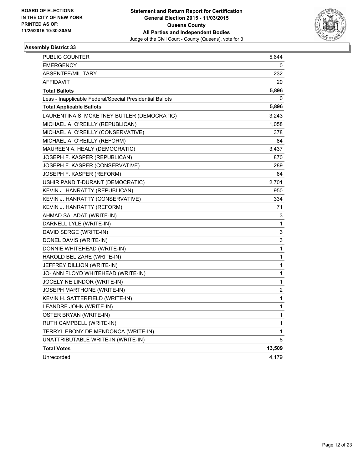

| PUBLIC COUNTER                                           | 5,644                   |
|----------------------------------------------------------|-------------------------|
| EMERGENCY                                                | 0                       |
| ABSENTEE/MILITARY                                        | 232                     |
| <b>AFFIDAVIT</b>                                         | 20                      |
| <b>Total Ballots</b>                                     | 5,896                   |
| Less - Inapplicable Federal/Special Presidential Ballots | 0                       |
| <b>Total Applicable Ballots</b>                          | 5,896                   |
| LAURENTINA S. MCKETNEY BUTLER (DEMOCRATIC)               | 3,243                   |
| MICHAEL A. O'REILLY (REPUBLICAN)                         | 1,058                   |
| MICHAEL A. O'REILLY (CONSERVATIVE)                       | 378                     |
| MICHAEL A. O'REILLY (REFORM)                             | 84                      |
| MAUREEN A. HEALY (DEMOCRATIC)                            | 3,437                   |
| JOSEPH F. KASPER (REPUBLICAN)                            | 870                     |
| JOSEPH F. KASPER (CONSERVATIVE)                          | 289                     |
| JOSEPH F. KASPER (REFORM)                                | 64                      |
| USHIR PANDIT-DURANT (DEMOCRATIC)                         | 2,701                   |
| KEVIN J. HANRATTY (REPUBLICAN)                           | 950                     |
| KEVIN J. HANRATTY (CONSERVATIVE)                         | 334                     |
| KEVIN J. HANRATTY (REFORM)                               | 71                      |
| AHMAD SALADAT (WRITE-IN)                                 | 3                       |
| DARNELL LYLE (WRITE-IN)                                  | 1                       |
| DAVID SERGE (WRITE-IN)                                   | 3                       |
| DONEL DAVIS (WRITE-IN)                                   | 3                       |
| DONNIE WHITEHEAD (WRITE-IN)                              | 1                       |
| HAROLD BELIZARE (WRITE-IN)                               | 1                       |
| JEFFREY DILLION (WRITE-IN)                               | 1                       |
| JO- ANN FLOYD WHITEHEAD (WRITE-IN)                       | 1                       |
| JOCELY NE LINDOR (WRITE-IN)                              | 1                       |
| JOSEPH MARTHONE (WRITE-IN)                               | $\overline{\mathbf{c}}$ |
| KEVIN H. SATTERFIELD (WRITE-IN)                          | 1                       |
| LEANDRE JOHN (WRITE-IN)                                  | 1                       |
| OSTER BRYAN (WRITE-IN)                                   | 1                       |
| RUTH CAMPBELL (WRITE-IN)                                 | 1                       |
| TERRYL EBONY DE MENDONCA (WRITE-IN)                      | 1                       |
| UNATTRIBUTABLE WRITE-IN (WRITE-IN)                       | 8                       |
| <b>Total Votes</b>                                       | 13,509                  |
| Unrecorded                                               | 4,179                   |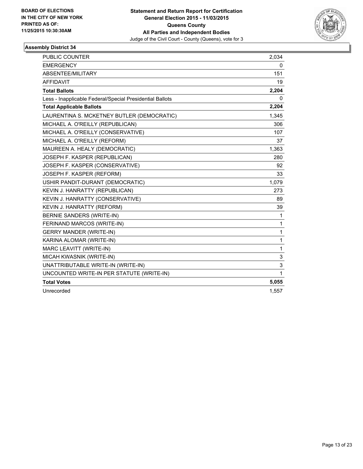

| <b>PUBLIC COUNTER</b>                                    | 2,034 |
|----------------------------------------------------------|-------|
| <b>EMERGENCY</b>                                         | 0     |
| ABSENTEE/MILITARY                                        | 151   |
| <b>AFFIDAVIT</b>                                         | 19    |
| <b>Total Ballots</b>                                     | 2,204 |
| Less - Inapplicable Federal/Special Presidential Ballots | 0     |
| <b>Total Applicable Ballots</b>                          | 2,204 |
| LAURENTINA S. MCKETNEY BUTLER (DEMOCRATIC)               | 1,345 |
| MICHAEL A. O'REILLY (REPUBLICAN)                         | 306   |
| MICHAEL A. O'REILLY (CONSERVATIVE)                       | 107   |
| MICHAEL A. O'REILLY (REFORM)                             | 37    |
| MAUREEN A. HEALY (DEMOCRATIC)                            | 1,363 |
| JOSEPH F. KASPER (REPUBLICAN)                            | 280   |
| JOSEPH F. KASPER (CONSERVATIVE)                          | 92    |
| JOSEPH F. KASPER (REFORM)                                | 33    |
| USHIR PANDIT-DURANT (DEMOCRATIC)                         | 1,079 |
| KEVIN J. HANRATTY (REPUBLICAN)                           | 273   |
| KEVIN J. HANRATTY (CONSERVATIVE)                         | 89    |
| KEVIN J. HANRATTY (REFORM)                               | 39    |
| BERNIE SANDERS (WRITE-IN)                                | 1     |
| FERINAND MARCOS (WRITE-IN)                               | 1     |
| <b>GERRY MANDER (WRITE-IN)</b>                           | 1     |
| KARINA ALOMAR (WRITE-IN)                                 | 1     |
| MARC LEAVITT (WRITE-IN)                                  | 1     |
| MICAH KWASNIK (WRITE-IN)                                 | 3     |
| UNATTRIBUTABLE WRITE-IN (WRITE-IN)                       | 3     |
| UNCOUNTED WRITE-IN PER STATUTE (WRITE-IN)                | 1     |
| <b>Total Votes</b>                                       | 5,055 |
| Unrecorded                                               | 1,557 |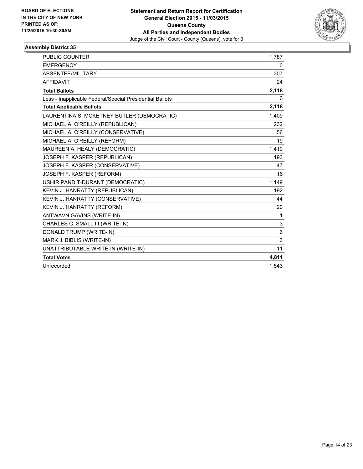

| <b>PUBLIC COUNTER</b>                                    | 1,787 |
|----------------------------------------------------------|-------|
| <b>EMERGENCY</b>                                         | 0     |
| ABSENTEE/MILITARY                                        | 307   |
| <b>AFFIDAVIT</b>                                         | 24    |
| <b>Total Ballots</b>                                     | 2,118 |
| Less - Inapplicable Federal/Special Presidential Ballots | 0     |
| <b>Total Applicable Ballots</b>                          | 2,118 |
| LAURENTINA S. MCKETNEY BUTLER (DEMOCRATIC)               | 1,409 |
| MICHAEL A. O'REILLY (REPUBLICAN)                         | 232   |
| MICHAEL A. O'REILLY (CONSERVATIVE)                       | 56    |
| MICHAEL A. O'REILLY (REFORM)                             | 19    |
| MAUREEN A. HEALY (DEMOCRATIC)                            | 1,410 |
| JOSEPH F. KASPER (REPUBLICAN)                            | 193   |
| JOSEPH F. KASPER (CONSERVATIVE)                          | 47    |
| JOSEPH F. KASPER (REFORM)                                | 16    |
| USHIR PANDIT-DURANT (DEMOCRATIC)                         | 1,149 |
| KEVIN J. HANRATTY (REPUBLICAN)                           | 192   |
| KEVIN J. HANRATTY (CONSERVATIVE)                         | 44    |
| <b>KEVIN J. HANRATTY (REFORM)</b>                        | 20    |
| ANTWAVN GAVINS (WRITE-IN)                                | 1     |
| CHARLES C. SMALL III (WRITE-IN)                          | 3     |
| DONALD TRUMP (WRITE-IN)                                  | 6     |
| MARK J. BIBLIS (WRITE-IN)                                | 3     |
| UNATTRIBUTABLE WRITE-IN (WRITE-IN)                       | 11    |
| <b>Total Votes</b>                                       | 4,811 |
| Unrecorded                                               | 1,543 |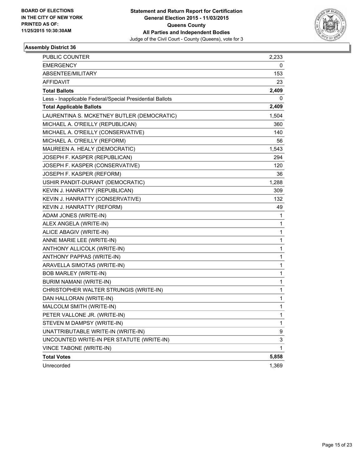

| PUBLIC COUNTER                                           | 2,233 |
|----------------------------------------------------------|-------|
| <b>EMERGENCY</b>                                         | 0     |
| ABSENTEE/MILITARY                                        | 153   |
| <b>AFFIDAVIT</b>                                         | 23    |
| <b>Total Ballots</b>                                     | 2,409 |
| Less - Inapplicable Federal/Special Presidential Ballots | 0     |
| <b>Total Applicable Ballots</b>                          | 2,409 |
| LAURENTINA S. MCKETNEY BUTLER (DEMOCRATIC)               | 1,504 |
| MICHAEL A. O'REILLY (REPUBLICAN)                         | 360   |
| MICHAEL A. O'REILLY (CONSERVATIVE)                       | 140   |
| MICHAEL A. O'REILLY (REFORM)                             | 56    |
| MAUREEN A. HEALY (DEMOCRATIC)                            | 1,543 |
| JOSEPH F. KASPER (REPUBLICAN)                            | 294   |
| JOSEPH F. KASPER (CONSERVATIVE)                          | 120   |
| JOSEPH F. KASPER (REFORM)                                | 36    |
| USHIR PANDIT-DURANT (DEMOCRATIC)                         | 1,288 |
| KEVIN J. HANRATTY (REPUBLICAN)                           | 309   |
| KEVIN J. HANRATTY (CONSERVATIVE)                         | 132.  |
| KEVIN J. HANRATTY (REFORM)                               | 49    |
| ADAM JONES (WRITE-IN)                                    | 1     |
| ALEX ANGELA (WRITE-IN)                                   | 1     |
| ALICE ABAGIV (WRITE-IN)                                  | 1     |
| ANNE MARIE LEE (WRITE-IN)                                | 1     |
| ANTHONY ALLICOLK (WRITE-IN)                              | 1     |
| ANTHONY PAPPAS (WRITE-IN)                                | 1     |
| ARAVELLA SIMOTAS (WRITE-IN)                              | 1     |
| <b>BOB MARLEY (WRITE-IN)</b>                             | 1     |
| BURIM NAMANI (WRITE-IN)                                  | 1     |
| CHRISTOPHER WALTER STRUNGIS (WRITE-IN)                   | 1     |
| DAN HALLORAN (WRITE-IN)                                  | 1     |
| MALCOLM SMITH (WRITE-IN)                                 | 1     |
| PETER VALLONE JR. (WRITE-IN)                             | 1     |
| STEVEN M DAMPSY (WRITE-IN)                               | 1     |
| UNATTRIBUTABLE WRITE-IN (WRITE-IN)                       | 9     |
| UNCOUNTED WRITE-IN PER STATUTE (WRITE-IN)                | 3     |
| VINCE TABONE (WRITE-IN)                                  | 1     |
| <b>Total Votes</b>                                       | 5,858 |
| Unrecorded                                               | 1,369 |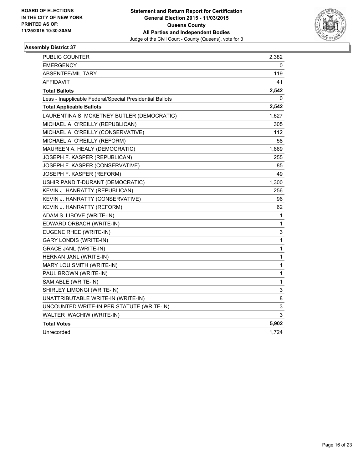

| <b>PUBLIC COUNTER</b>                                    | 2,382 |
|----------------------------------------------------------|-------|
| EMERGENCY                                                | 0     |
| ABSENTEE/MILITARY                                        | 119   |
| <b>AFFIDAVIT</b>                                         | 41    |
| <b>Total Ballots</b>                                     | 2,542 |
| Less - Inapplicable Federal/Special Presidential Ballots | 0     |
| <b>Total Applicable Ballots</b>                          | 2,542 |
| LAURENTINA S. MCKETNEY BUTLER (DEMOCRATIC)               | 1,627 |
| MICHAEL A. O'REILLY (REPUBLICAN)                         | 305   |
| MICHAEL A. O'REILLY (CONSERVATIVE)                       | 112   |
| MICHAEL A. O'REILLY (REFORM)                             | 58    |
| MAUREEN A. HEALY (DEMOCRATIC)                            | 1,669 |
| JOSEPH F. KASPER (REPUBLICAN)                            | 255   |
| JOSEPH F. KASPER (CONSERVATIVE)                          | 85    |
| JOSEPH F. KASPER (REFORM)                                | 49    |
| USHIR PANDIT-DURANT (DEMOCRATIC)                         | 1,300 |
| KEVIN J. HANRATTY (REPUBLICAN)                           | 256   |
| KEVIN J. HANRATTY (CONSERVATIVE)                         | 96    |
| KEVIN J. HANRATTY (REFORM)                               | 62    |
| ADAM S. LIBOVE (WRITE-IN)                                | 1     |
| EDWARD ORBACH (WRITE-IN)                                 | 1     |
| EUGENE RHEE (WRITE-IN)                                   | 3     |
| <b>GARY LONDIS (WRITE-IN)</b>                            | 1     |
| <b>GRACE JANL (WRITE-IN)</b>                             | 1     |
| HERNAN JANL (WRITE-IN)                                   | 1     |
| MARY LOU SMITH (WRITE-IN)                                | 1     |
| PAUL BROWN (WRITE-IN)                                    | 1     |
| SAM ABLE (WRITE-IN)                                      | 1     |
| SHIRLEY LIMONGI (WRITE-IN)                               | 3     |
| UNATTRIBUTABLE WRITE-IN (WRITE-IN)                       | 8     |
| UNCOUNTED WRITE-IN PER STATUTE (WRITE-IN)                | 3     |
| WALTER IWACHIW (WRITE-IN)                                | 3     |
| <b>Total Votes</b>                                       | 5,902 |
| Unrecorded                                               | 1,724 |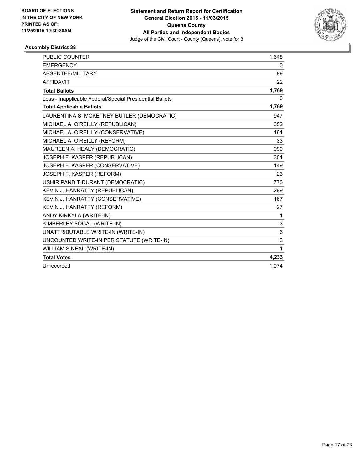

| <b>PUBLIC COUNTER</b>                                    | 1,648 |
|----------------------------------------------------------|-------|
| <b>EMERGENCY</b>                                         | 0     |
| ABSENTEE/MILITARY                                        | 99    |
| <b>AFFIDAVIT</b>                                         | 22    |
| <b>Total Ballots</b>                                     | 1,769 |
| Less - Inapplicable Federal/Special Presidential Ballots | 0     |
| <b>Total Applicable Ballots</b>                          | 1,769 |
| LAURENTINA S. MCKETNEY BUTLER (DEMOCRATIC)               | 947   |
| MICHAEL A. O'REILLY (REPUBLICAN)                         | 352   |
| MICHAEL A. O'REILLY (CONSERVATIVE)                       | 161   |
| MICHAEL A. O'REILLY (REFORM)                             | 33    |
| MAUREEN A. HEALY (DEMOCRATIC)                            | 990   |
| JOSEPH F. KASPER (REPUBLICAN)                            | 301   |
| JOSEPH F. KASPER (CONSERVATIVE)                          | 149   |
| JOSEPH F. KASPER (REFORM)                                | 23    |
| USHIR PANDIT-DURANT (DEMOCRATIC)                         | 770   |
| KEVIN J. HANRATTY (REPUBLICAN)                           | 299   |
| KEVIN J. HANRATTY (CONSERVATIVE)                         | 167   |
| KEVIN J. HANRATTY (REFORM)                               | 27    |
| ANDY KIRKYLA (WRITE-IN)                                  | 1     |
| KIMBERLEY FOGAL (WRITE-IN)                               | 3     |
| UNATTRIBUTABLE WRITE-IN (WRITE-IN)                       | 6     |
| UNCOUNTED WRITE-IN PER STATUTE (WRITE-IN)                | 3     |
| WILLIAM S NEAL (WRITE-IN)                                | 1     |
| <b>Total Votes</b>                                       | 4,233 |
| Unrecorded                                               | 1,074 |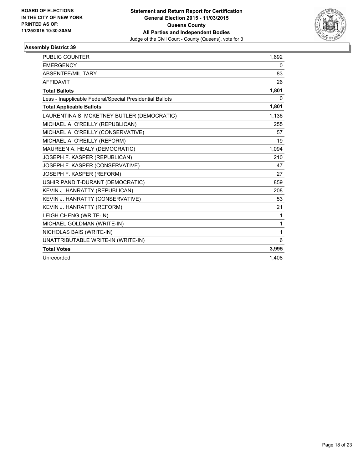

| <b>PUBLIC COUNTER</b>                                    | 1,692        |
|----------------------------------------------------------|--------------|
| <b>EMERGENCY</b>                                         | 0            |
| <b>ABSENTEE/MILITARY</b>                                 | 83           |
| <b>AFFIDAVIT</b>                                         | 26           |
| <b>Total Ballots</b>                                     | 1,801        |
| Less - Inapplicable Federal/Special Presidential Ballots | $\mathbf{0}$ |
| <b>Total Applicable Ballots</b>                          | 1,801        |
| LAURENTINA S. MCKETNEY BUTLER (DEMOCRATIC)               | 1,136        |
| MICHAEL A. O'REILLY (REPUBLICAN)                         | 255          |
| MICHAEL A. O'REILLY (CONSERVATIVE)                       | 57           |
| MICHAEL A. O'REILLY (REFORM)                             | 19           |
| MAUREEN A. HEALY (DEMOCRATIC)                            | 1,094        |
| JOSEPH F. KASPER (REPUBLICAN)                            | 210          |
| JOSEPH F. KASPER (CONSERVATIVE)                          | 47           |
| JOSEPH F. KASPER (REFORM)                                | 27           |
| USHIR PANDIT-DURANT (DEMOCRATIC)                         | 859          |
| KEVIN J. HANRATTY (REPUBLICAN)                           | 208          |
| KEVIN J. HANRATTY (CONSERVATIVE)                         | 53           |
| KEVIN J. HANRATTY (REFORM)                               | 21           |
| LEIGH CHENG (WRITE-IN)                                   | 1            |
| MICHAEL GOLDMAN (WRITE-IN)                               | 1            |
| NICHOLAS BAIS (WRITE-IN)                                 | 1            |
| UNATTRIBUTABLE WRITE-IN (WRITE-IN)                       | 6            |
| <b>Total Votes</b>                                       | 3,995        |
| Unrecorded                                               | 1.408        |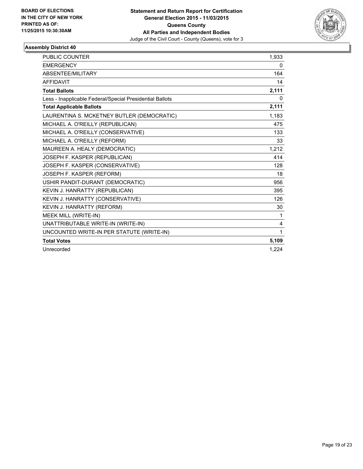

| PUBLIC COUNTER                                           | 1,933 |
|----------------------------------------------------------|-------|
| <b>EMERGENCY</b>                                         | 0     |
| ABSENTEE/MILITARY                                        | 164   |
| <b>AFFIDAVIT</b>                                         | 14    |
| <b>Total Ballots</b>                                     | 2,111 |
| Less - Inapplicable Federal/Special Presidential Ballots | 0     |
| <b>Total Applicable Ballots</b>                          | 2,111 |
| LAURENTINA S. MCKETNEY BUTLER (DEMOCRATIC)               | 1,183 |
| MICHAEL A. O'REILLY (REPUBLICAN)                         | 475   |
| MICHAEL A. O'REILLY (CONSERVATIVE)                       | 133   |
| MICHAEL A. O'REILLY (REFORM)                             | 33    |
| MAUREEN A. HEALY (DEMOCRATIC)                            | 1,212 |
| JOSEPH F. KASPER (REPUBLICAN)                            | 414   |
| JOSEPH F. KASPER (CONSERVATIVE)                          | 128   |
| JOSEPH F. KASPER (REFORM)                                | 18    |
| USHIR PANDIT-DURANT (DEMOCRATIC)                         | 956   |
| KEVIN J. HANRATTY (REPUBLICAN)                           | 395   |
| KEVIN J. HANRATTY (CONSERVATIVE)                         | 126   |
| KEVIN J. HANRATTY (REFORM)                               | 30    |
| MEEK MILL (WRITE-IN)                                     | 1     |
| UNATTRIBUTABLE WRITE-IN (WRITE-IN)                       | 4     |
| UNCOUNTED WRITE-IN PER STATUTE (WRITE-IN)                | 1     |
| <b>Total Votes</b>                                       | 5,109 |
| Unrecorded                                               | 1,224 |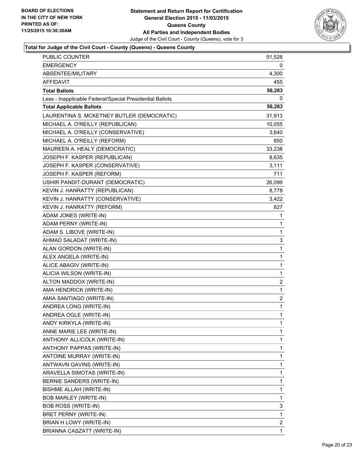

| <b>PUBLIC COUNTER</b>                                    | 51,528         |
|----------------------------------------------------------|----------------|
| <b>EMERGENCY</b>                                         | 0              |
| ABSENTEE/MILITARY                                        | 4,300          |
| <b>AFFIDAVIT</b>                                         | 455            |
| <b>Total Ballots</b>                                     | 56,283         |
| Less - Inapplicable Federal/Special Presidential Ballots | 0              |
| <b>Total Applicable Ballots</b>                          | 56,283         |
| LAURENTINA S. MCKETNEY BUTLER (DEMOCRATIC)               | 31,913         |
| MICHAEL A. O'REILLY (REPUBLICAN)                         | 10,055         |
| MICHAEL A. O'REILLY (CONSERVATIVE)                       | 3,640          |
| MICHAEL A. O'REILLY (REFORM)                             | 850            |
| MAUREEN A. HEALY (DEMOCRATIC)                            | 33,238         |
| JOSEPH F. KASPER (REPUBLICAN)                            | 8,635          |
| JOSEPH F. KASPER (CONSERVATIVE)                          | 3,111          |
| JOSEPH F. KASPER (REFORM)                                | 711            |
| USHIR PANDIT-DURANT (DEMOCRATIC)                         | 26,099         |
| KEVIN J. HANRATTY (REPUBLICAN)                           | 8,778          |
| KEVIN J. HANRATTY (CONSERVATIVE)                         | 3,422          |
| KEVIN J. HANRATTY (REFORM)                               | 827            |
| ADAM JONES (WRITE-IN)                                    | 1              |
| ADAM PERNY (WRITE-IN)                                    | 1              |
| ADAM S. LIBOVE (WRITE-IN)                                | 1              |
| AHMAD SALADAT (WRITE-IN)                                 | 3              |
| ALAN GORDON (WRITE-IN)                                   | 1              |
| ALEX ANGELA (WRITE-IN)                                   | 1              |
| ALICE ABAGIV (WRITE-IN)                                  | 1              |
| ALICIA WILSON (WRITE-IN)                                 | 1              |
| ALTON MADDOX (WRITE-IN)                                  | 2              |
| AMA HENDRICK (WRITE-IN)                                  | 1              |
| AMIA SANTIAGO (WRITE-IN)                                 | $\overline{c}$ |
| ANDREA LONG (WRITE-IN)                                   | 1              |
| ANDREA OGLE (WRITE-IN)                                   | $\mathbf{1}$   |
| ANDY KIRKYLA (WRITE-IN)                                  | 1              |
| ANNE MARIE LEE (WRITE-IN)                                | 1              |
| ANTHONY ALLICOLK (WRITE-IN)                              | 1              |
| ANTHONY PAPPAS (WRITE-IN)                                | 1              |
| ANTOINE MURRAY (WRITE-IN)                                | 1              |
| ANTWAVN GAVINS (WRITE-IN)                                | 1              |
| ARAVELLA SIMOTAS (WRITE-IN)                              | 1              |
| BERNIE SANDERS (WRITE-IN)                                | 1              |
| <b>BISHME ALLAH (WRITE-IN)</b>                           | 1              |
| <b>BOB MARLEY (WRITE-IN)</b>                             | 1              |
| <b>BOB ROSS (WRITE-IN)</b>                               | 3              |
| BRET PERNY (WRITE-IN)                                    | 1              |
| BRIAN H LOWY (WRITE-IN)                                  | 2              |
| BRIANNA CASZATT (WRITE-IN)                               | 1              |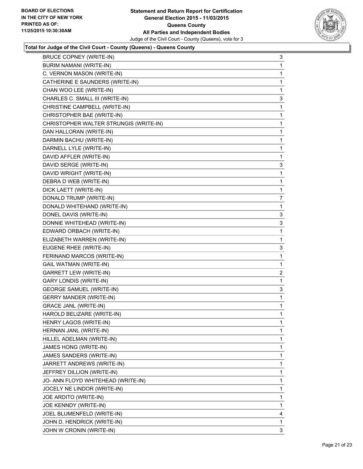

| BRUCE COPNEY (WRITE-IN)                | 3 |
|----------------------------------------|---|
| BURIM NAMANI (WRITE-IN)                | 1 |
| C. VERNON MASON (WRITE-IN)             | 1 |
| CATHERINE E SAUNDERS (WRITE-IN)        | 1 |
| CHAN WOO LEE (WRITE-IN)                | 1 |
| CHARLES C. SMALL III (WRITE-IN)        | 3 |
| CHRISTINE CAMPBELL (WRITE-IN)          | 1 |
| CHRISTOPHER BAE (WRITE-IN)             | 1 |
| CHRISTOPHER WALTER STRUNGIS (WRITE-IN) | 1 |
| DAN HALLORAN (WRITE-IN)                | 1 |
| DARMIN BACHU (WRITE-IN)                | 1 |
| DARNELL LYLE (WRITE-IN)                | 1 |
| DAVID AFFLER (WRITE-IN)                | 1 |
| DAVID SERGE (WRITE-IN)                 | 3 |
| DAVID WRIGHT (WRITE-IN)                | 1 |
| DEBRA D WEB (WRITE-IN)                 | 1 |
| DICK LAETT (WRITE-IN)                  | 1 |
| DONALD TRUMP (WRITE-IN)                | 7 |
| DONALD WHITEHAND (WRITE-IN)            | 1 |
| DONEL DAVIS (WRITE-IN)                 | 3 |
| DONNIE WHITEHEAD (WRITE-IN)            | 3 |
| EDWARD ORBACH (WRITE-IN)               | 1 |
| ELIZABETH WARREN (WRITE-IN)            | 1 |
| EUGENE RHEE (WRITE-IN)                 | 3 |
| FERINAND MARCOS (WRITE-IN)             | 1 |
| <b>GAIL WATMAN (WRITE-IN)</b>          | 1 |
| <b>GARRETT LEW (WRITE-IN)</b>          | 2 |
| <b>GARY LONDIS (WRITE-IN)</b>          | 1 |
| <b>GEORGE SAMUEL (WRITE-IN)</b>        | 3 |
| <b>GERRY MANDER (WRITE-IN)</b>         | 1 |
| <b>GRACE JANL (WRITE-IN)</b>           | 1 |
| HAROLD BELIZARE (WRITE-IN)             | 1 |
| HENRY LAGOS (WRITE-IN)                 | 1 |
| HERNAN JANL (WRITE-IN)                 | 1 |
| HILLEL ADELMAN (WRITE-IN)              | 1 |
| JAMES HONG (WRITE-IN)                  | 1 |
| JAMES SANDERS (WRITE-IN)               | 1 |
| JARRETT ANDREWS (WRITE-IN)             | 1 |
| JEFFREY DILLION (WRITE-IN)             | 1 |
| JO- ANN FLOYD WHITEHEAD (WRITE-IN)     | 1 |
| JOCELY NE LINDOR (WRITE-IN)            | 1 |
| JOE ARDITO (WRITE-IN)                  | 1 |
| JOE KENNDY (WRITE-IN)                  | 1 |
| JOEL BLUMENFELD (WRITE-IN)             | 4 |
| JOHN D. HENDRICK (WRITE-IN)            | 1 |
| JOHN W CRONIN (WRITE-IN)               | 3 |
|                                        |   |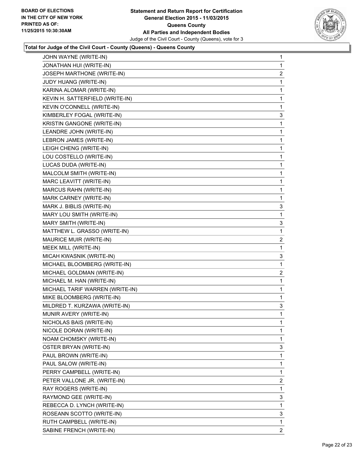

| JOHN WAYNE (WRITE-IN)           | 1              |
|---------------------------------|----------------|
| JONATHAN HUI (WRITE-IN)         | 1              |
| JOSEPH MARTHONE (WRITE-IN)      | $\overline{c}$ |
| JUDY HUANG (WRITE-IN)           | 1              |
| KARINA ALOMAR (WRITE-IN)        | 1              |
| KEVIN H. SATTERFIELD (WRITE-IN) | 1              |
| KEVIN O'CONNELL (WRITE-IN)      | 1              |
| KIMBERLEY FOGAL (WRITE-IN)      | 3              |
| KRISTIN GANGONE (WRITE-IN)      | 1              |
| LEANDRE JOHN (WRITE-IN)         | 1              |
| LEBRON JAMES (WRITE-IN)         | 1              |
| LEIGH CHENG (WRITE-IN)          | 1              |
| LOU COSTELLO (WRITE-IN)         | 1              |
| LUCAS DUDA (WRITE-IN)           | 1              |
| MALCOLM SMITH (WRITE-IN)        | 1              |
| MARC LEAVITT (WRITE-IN)         | 1              |
| MARCUS RAHN (WRITE-IN)          | 1              |
| MARK CARNEY (WRITE-IN)          | 1              |
| MARK J. BIBLIS (WRITE-IN)       | 3              |
| MARY LOU SMITH (WRITE-IN)       | 1              |
| MARY SMITH (WRITE-IN)           | 3              |
| MATTHEW L. GRASSO (WRITE-IN)    | 1              |
| MAURICE MUIR (WRITE-IN)         | 2              |
| MEEK MILL (WRITE-IN)            | 1              |
| MICAH KWASNIK (WRITE-IN)        | 3              |
| MICHAEL BLOOMBERG (WRITE-IN)    | 1              |
| MICHAEL GOLDMAN (WRITE-IN)      | 2              |
| MICHAEL M. HAN (WRITE-IN)       | 1              |
| MICHAEL TARIF WARREN (WRITE-IN) | 1              |
| MIKE BLOOMBERG (WRITE-IN)       | 1              |
| MILDRED T. KURZAWA (WRITE-IN)   | 3              |
| MUNIR AVERY (WRITE-IN)          | 1              |
| NICHOLAS BAIS (WRITE-IN)        | 1              |
| NICOLE DORAN (WRITE-IN)         | 1              |
| NOAM CHOMSKY (WRITE-IN)         | 1              |
| OSTER BRYAN (WRITE-IN)          | 3              |
| PAUL BROWN (WRITE-IN)           | 1              |
| PAUL SALOW (WRITE-IN)           | 1              |
| PERRY CAMPBELL (WRITE-IN)       | 1              |
| PETER VALLONE JR. (WRITE-IN)    | $\mathbf{2}$   |
| RAY ROGERS (WRITE-IN)           | 1              |
| RAYMOND GEE (WRITE-IN)          | 3              |
| REBECCA D. LYNCH (WRITE-IN)     | 1              |
| ROSEANN SCOTTO (WRITE-IN)       | 3              |
| RUTH CAMPBELL (WRITE-IN)        | 1              |
|                                 |                |